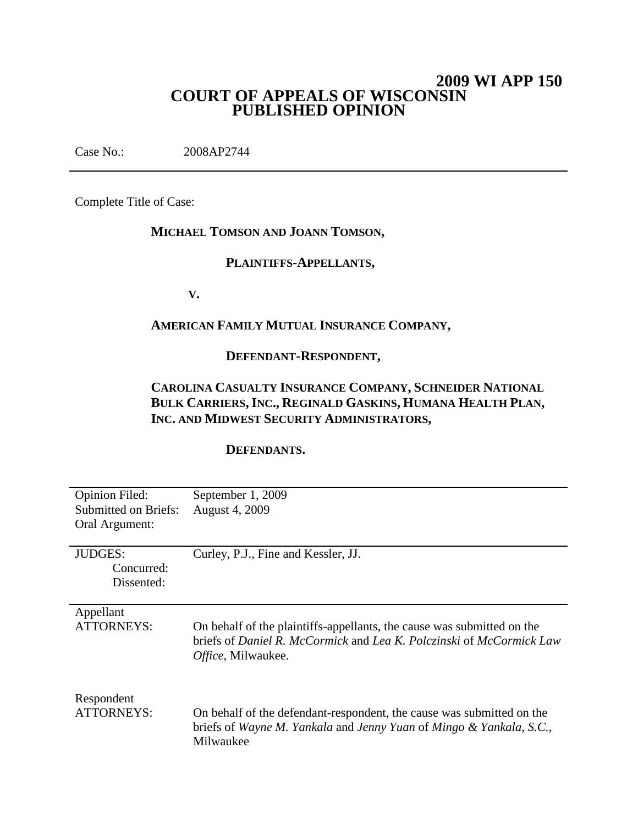# **2009 WI APP 150 COURT OF APPEALS OF WISCONSIN PUBLISHED OPINION**

Case No.: 2008AP2744

Complete Title of Case:

# **MICHAEL TOMSON AND JOANN TOMSON,**

# **PLAINTIFFS-APPELLANTS,**

**V.**

## **AMERICAN FAMILY MUTUAL INSURANCE COMPANY,**

#### **DEFENDANT-RESPONDENT,**

# **CAROLINA CASUALTY INSURANCE COMPANY, SCHNEIDER NATIONAL BULK CARRIERS, INC., REGINALD GASKINS, HUMANA HEALTH PLAN, INC. AND MIDWEST SECURITY ADMINISTRATORS,**

### **DEFENDANTS.**

| <b>Opinion Filed:</b><br><b>Submitted on Briefs:</b> | September 1, 2009<br>August 4, 2009                                                                                                                                                       |
|------------------------------------------------------|-------------------------------------------------------------------------------------------------------------------------------------------------------------------------------------------|
| Oral Argument:                                       |                                                                                                                                                                                           |
| <b>JUDGES:</b><br>Concurred:<br>Dissented:           | Curley, P.J., Fine and Kessler, JJ.                                                                                                                                                       |
| Appellant<br><b>ATTORNEYS:</b>                       | On behalf of the plaintiffs-appellants, the cause was submitted on the<br>briefs of <i>Daniel R. McCormick</i> and <i>Lea K. Polczinski</i> of <i>McCormick Law</i><br>Office, Milwaukee. |
| Respondent<br><b>ATTORNEYS:</b>                      | On behalf of the defendant-respondent, the cause was submitted on the<br>briefs of Wayne M. Yankala and Jenny Yuan of Mingo & Yankala, S.C.,<br>Milwaukee                                 |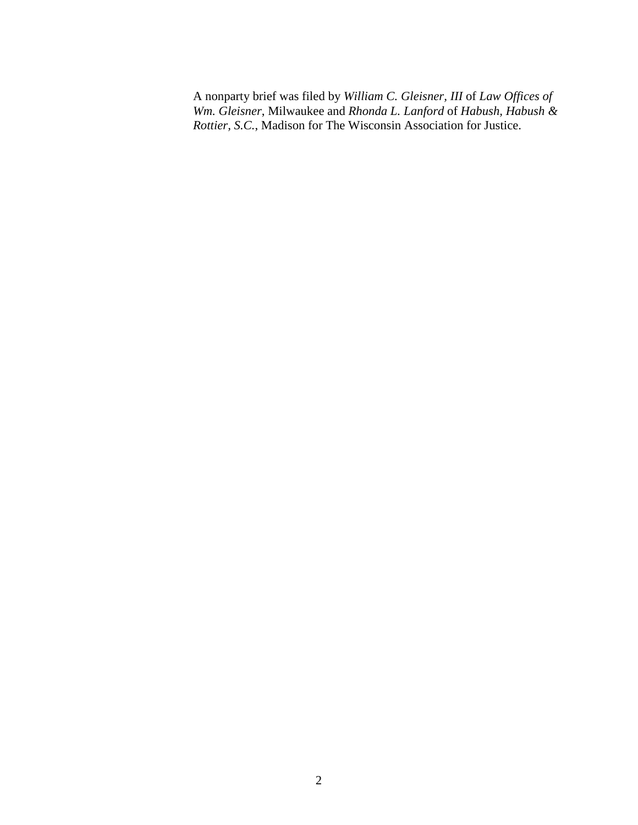A nonparty brief was filed by *William C. Gleisner, III* of *Law Offices of Wm. Gleisner*, Milwaukee and *Rhonda L. Lanford* of *Habush, Habush & Rottier, S.C.*, Madison for The Wisconsin Association for Justice.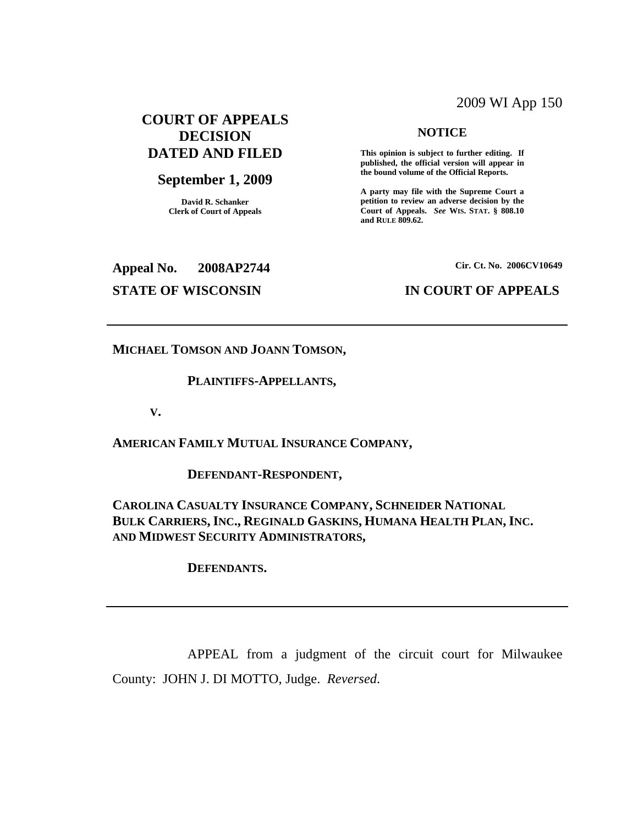## 2009 WI App 150

## **COURT OF APPEALS DECISION DATED AND FILED**

## **September 1, 2009**

**David R. Schanker Clerk of Court of Appeals**

### **NOTICE**

**This opinion is subject to further editing. If published, the official version will appear in the bound volume of the Official Reports.**

**A party may file with the Supreme Court a petition to review an adverse decision by the Court of Appeals.** *See* **WIS. STAT. § 808.10 and RULE 809.62.**

**Appeal No. 2008AP2744**

**Cir. Ct. No. 2006CV10649**

## **STATE OF WISCONSIN IN COURT OF APPEALS**

**MICHAEL TOMSON AND JOANN TOMSON,**

#### **PLAINTIFFS-APPELLANTS,**

**V.**

**AMERICAN FAMILY MUTUAL INSURANCE COMPANY,**

**DEFENDANT-RESPONDENT,**

**CAROLINA CASUALTY INSURANCE COMPANY, SCHNEIDER NATIONAL BULK CARRIERS, INC., REGINALD GASKINS, HUMANA HEALTH PLAN, INC. AND MIDWEST SECURITY ADMINISTRATORS,**

**DEFENDANTS.**

APPEAL from a judgment of the circuit court for Milwaukee County: JOHN J. DI MOTTO, Judge. *Reversed*.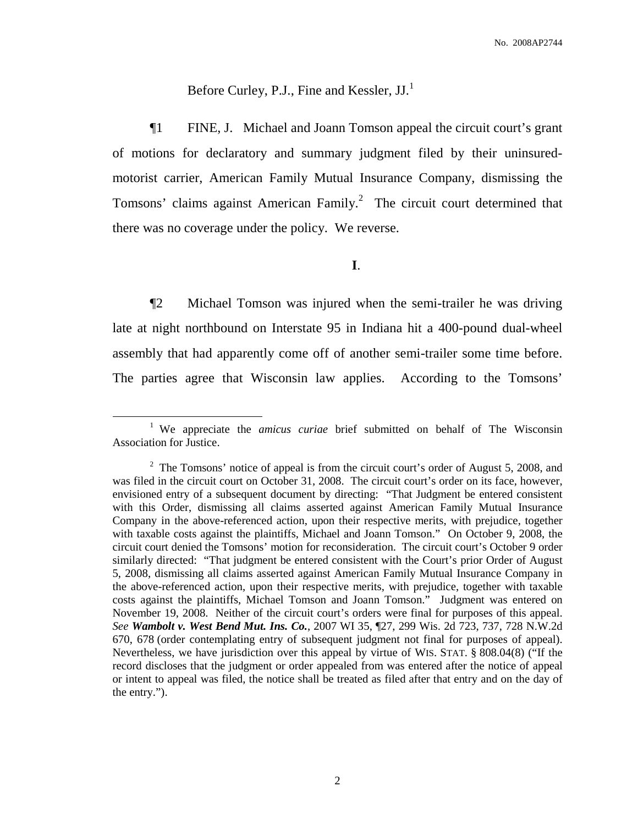# Before Curley, P.J., Fine and Kessler, JJ.<sup>1</sup>

¶1 FINE, J. Michael and Joann Tomson appeal the circuit court's grant of motions for declaratory and summary judgment filed by their uninsuredmotorist carrier, American Family Mutual Insurance Company, dismissing the Tomsons' claims against American Family.<sup>2</sup> The circuit court determined that there was no coverage under the policy. We reverse.

## **I**.

¶2 Michael Tomson was injured when the semi-trailer he was driving late at night northbound on Interstate 95 in Indiana hit a 400-pound dual-wheel assembly that had apparently come off of another semi-trailer some time before. The parties agree that Wisconsin law applies. According to the Tomsons'

<sup>1</sup> We appreciate the *amicus curiae* brief submitted on behalf of The Wisconsin Association for Justice.

 $2 \text{ The Tomsons'}$  notice of appeal is from the circuit court's order of August 5, 2008, and was filed in the circuit court on October 31, 2008. The circuit court's order on its face, however, envisioned entry of a subsequent document by directing: "That Judgment be entered consistent with this Order, dismissing all claims asserted against American Family Mutual Insurance Company in the above-referenced action, upon their respective merits, with prejudice, together with taxable costs against the plaintiffs, Michael and Joann Tomson." On October 9, 2008, the circuit court denied the Tomsons' motion for reconsideration. The circuit court's October 9 order similarly directed: "That judgment be entered consistent with the Court's prior Order of August 5, 2008, dismissing all claims asserted against American Family Mutual Insurance Company in the above-referenced action, upon their respective merits, with prejudice, together with taxable costs against the plaintiffs, Michael Tomson and Joann Tomson." Judgment was entered on November 19, 2008. Neither of the circuit court's orders were final for purposes of this appeal. *See Wambolt v. West Bend Mut. Ins. Co.*, 2007 WI 35, ¶27, 299 Wis. 2d 723, 737, 728 N.W.2d 670, 678 (order contemplating entry of subsequent judgment not final for purposes of appeal). Nevertheless, we have jurisdiction over this appeal by virtue of WIS. STAT. § 808.04(8) ("If the record discloses that the judgment or order appealed from was entered after the notice of appeal or intent to appeal was filed, the notice shall be treated as filed after that entry and on the day of the entry.").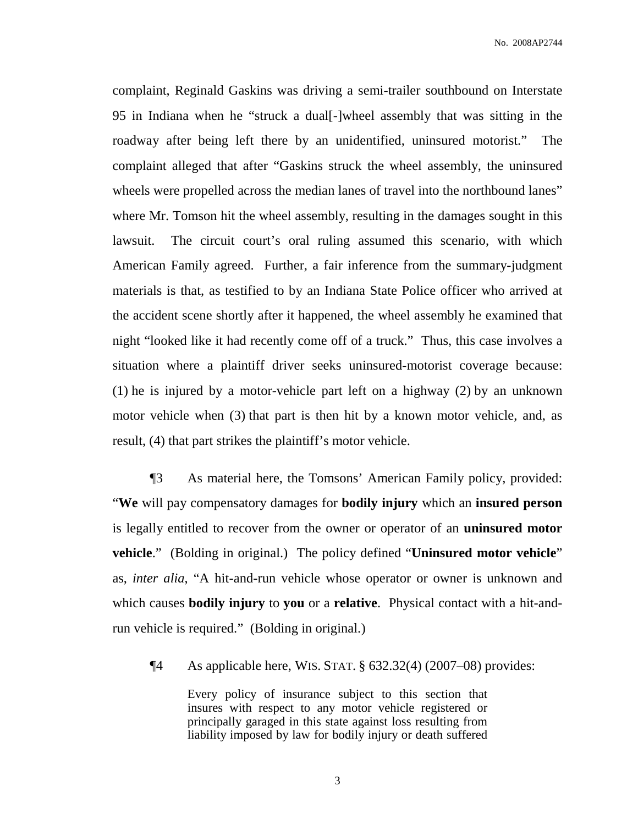complaint, Reginald Gaskins was driving a semi-trailer southbound on Interstate 95 in Indiana when he "struck a dual[-]wheel assembly that was sitting in the roadway after being left there by an unidentified, uninsured motorist." The complaint alleged that after "Gaskins struck the wheel assembly, the uninsured wheels were propelled across the median lanes of travel into the northbound lanes" where Mr. Tomson hit the wheel assembly, resulting in the damages sought in this lawsuit. The circuit court's oral ruling assumed this scenario, with which American Family agreed. Further, a fair inference from the summary-judgment materials is that, as testified to by an Indiana State Police officer who arrived at the accident scene shortly after it happened, the wheel assembly he examined that night "looked like it had recently come off of a truck." Thus, this case involves a situation where a plaintiff driver seeks uninsured-motorist coverage because: (1) he is injured by a motor-vehicle part left on a highway (2) by an unknown motor vehicle when (3) that part is then hit by a known motor vehicle, and, as result, (4) that part strikes the plaintiff's motor vehicle.

¶3 As material here, the Tomsons' American Family policy, provided: "**We** will pay compensatory damages for **bodily injury** which an **insured person** is legally entitled to recover from the owner or operator of an **uninsured motor vehicle**." (Bolding in original.) The policy defined "**Uninsured motor vehicle**" as, *inter alia*, "A hit-and-run vehicle whose operator or owner is unknown and which causes **bodily injury** to **you** or a **relative**. Physical contact with a hit-andrun vehicle is required." (Bolding in original.)

¶4 As applicable here, WIS. STAT. § 632.32(4) (2007–08) provides:

Every policy of insurance subject to this section that insures with respect to any motor vehicle registered or principally garaged in this state against loss resulting from liability imposed by law for bodily injury or death suffered

3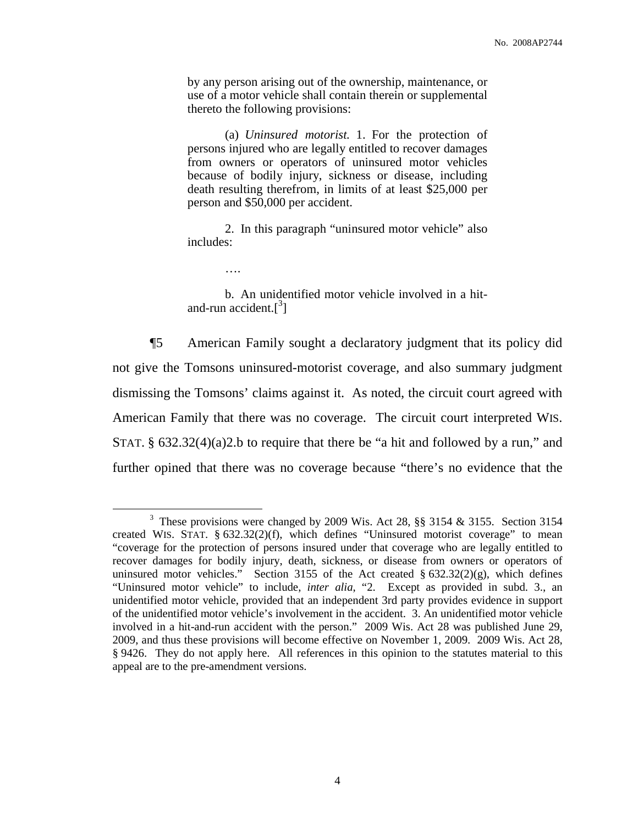by any person arising out of the ownership, maintenance, or use of a motor vehicle shall contain therein or supplemental thereto the following provisions:

(a) *Uninsured motorist.* 1. For the protection of persons injured who are legally entitled to recover damages from owners or operators of uninsured motor vehicles because of bodily injury, sickness or disease, including death resulting therefrom, in limits of at least \$25,000 per person and \$50,000 per accident.

2. In this paragraph "uninsured motor vehicle" also includes:

….

b. An unidentified motor vehicle involved in a hitand-run accident.<sup>[3]</sup>

¶5 American Family sought a declaratory judgment that its policy did not give the Tomsons uninsured-motorist coverage, and also summary judgment dismissing the Tomsons' claims against it. As noted, the circuit court agreed with American Family that there was no coverage. The circuit court interpreted WIS. STAT.  $\S$  632.32(4)(a)2.b to require that there be "a hit and followed by a run," and further opined that there was no coverage because "there's no evidence that the

<sup>&</sup>lt;sup>3</sup> These provisions were changed by 2009 Wis. Act 28, §§ 3154 & 3155. Section 3154 created WIS. STAT. § 632.32(2)(f), which defines "Uninsured motorist coverage" to mean "coverage for the protection of persons insured under that coverage who are legally entitled to recover damages for bodily injury, death, sickness, or disease from owners or operators of uninsured motor vehicles." Section 3155 of the Act created  $\S 632.32(2)(g)$ , which defines "Uninsured motor vehicle" to include, *inter alia*, "2. Except as provided in subd. 3., an unidentified motor vehicle, provided that an independent 3rd party provides evidence in support of the unidentified motor vehicle's involvement in the accident. 3. An unidentified motor vehicle involved in a hit-and-run accident with the person." 2009 Wis. Act 28 was published June 29, 2009, and thus these provisions will become effective on November 1, 2009. 2009 Wis. Act 28, § 9426. They do not apply here. All references in this opinion to the statutes material to this appeal are to the pre-amendment versions.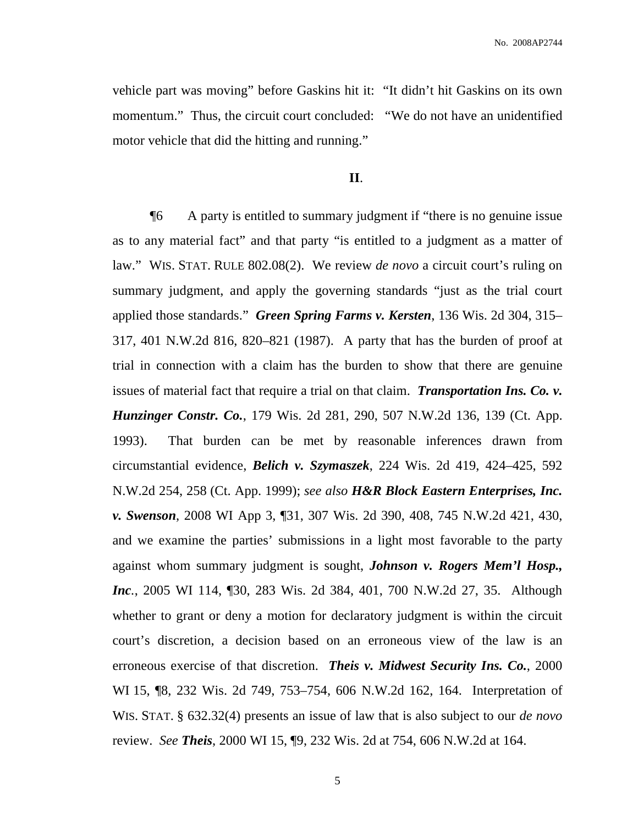vehicle part was moving" before Gaskins hit it: "It didn't hit Gaskins on its own momentum." Thus, the circuit court concluded: "We do not have an unidentified motor vehicle that did the hitting and running."

### **II**.

¶6 A party is entitled to summary judgment if "there is no genuine issue as to any material fact" and that party "is entitled to a judgment as a matter of law." WIS. STAT. RULE 802.08(2). We review *de novo* a circuit court's ruling on summary judgment, and apply the governing standards "just as the trial court applied those standards." *Green Spring Farms v. Kersten*, 136 Wis. 2d 304, 315– 317, 401 N.W.2d 816, 820–821 (1987). A party that has the burden of proof at trial in connection with a claim has the burden to show that there are genuine issues of material fact that require a trial on that claim. *Transportation Ins. Co. v. Hunzinger Constr. Co.*, 179 Wis. 2d 281, 290, 507 N.W.2d 136, 139 (Ct. App. 1993). That burden can be met by reasonable inferences drawn from circumstantial evidence, *Belich v. Szymaszek*, 224 Wis. 2d 419, 424–425, 592 N.W.2d 254, 258 (Ct. App. 1999); *see also H&R Block Eastern Enterprises, Inc. v. Swenson*, 2008 WI App 3, ¶31, 307 Wis. 2d 390, 408, 745 N.W.2d 421, 430, and we examine the parties' submissions in a light most favorable to the party against whom summary judgment is sought, *Johnson v. Rogers Mem'l Hosp., Inc.*, 2005 WI 114, ¶30, 283 Wis. 2d 384, 401, 700 N.W.2d 27, 35. Although whether to grant or deny a motion for declaratory judgment is within the circuit court's discretion, a decision based on an erroneous view of the law is an erroneous exercise of that discretion. *Theis v. Midwest Security Ins. Co.*, 2000 WI 15, ¶8, 232 Wis. 2d 749, 753–754, 606 N.W.2d 162, 164. Interpretation of WIS. STAT. § 632.32(4) presents an issue of law that is also subject to our *de novo* review. *See Theis*, 2000 WI 15, ¶9, 232 Wis. 2d at 754, 606 N.W.2d at 164.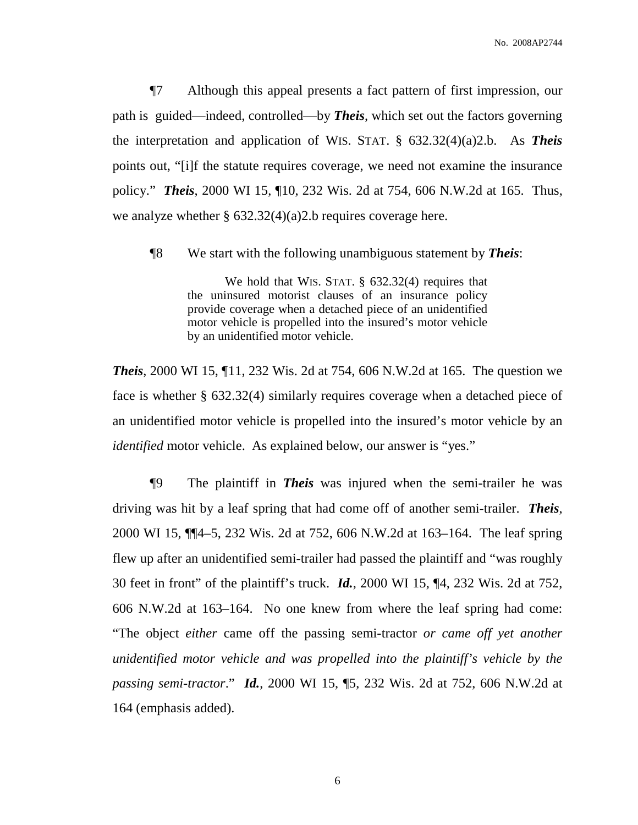¶7 Although this appeal presents a fact pattern of first impression, our path is guided—indeed, controlled—by *Theis*, which set out the factors governing the interpretation and application of WIS. STAT. § 632.32(4)(a)2.b. As *Theis* points out, "[i]f the statute requires coverage, we need not examine the insurance policy." *Theis*, 2000 WI 15, ¶10, 232 Wis. 2d at 754, 606 N.W.2d at 165. Thus, we analyze whether  $\S 632.32(4)(a)2.b$  requires coverage here.

¶8 We start with the following unambiguous statement by *Theis*:

We hold that WIS. STAT. § 632.32(4) requires that the uninsured motorist clauses of an insurance policy provide coverage when a detached piece of an unidentified motor vehicle is propelled into the insured's motor vehicle by an unidentified motor vehicle.

*Theis*, 2000 WI 15, ¶11, 232 Wis. 2d at 754, 606 N.W.2d at 165. The question we face is whether § 632.32(4) similarly requires coverage when a detached piece of an unidentified motor vehicle is propelled into the insured's motor vehicle by an *identified* motor vehicle. As explained below, our answer is "yes."

¶9 The plaintiff in *Theis* was injured when the semi-trailer he was driving was hit by a leaf spring that had come off of another semi-trailer. *Theis*, 2000 WI 15, ¶¶4–5, 232 Wis. 2d at 752, 606 N.W.2d at 163–164. The leaf spring flew up after an unidentified semi-trailer had passed the plaintiff and "was roughly 30 feet in front" of the plaintiff's truck. *Id.*, 2000 WI 15, ¶4, 232 Wis. 2d at 752, 606 N.W.2d at 163–164. No one knew from where the leaf spring had come: "The object *either* came off the passing semi-tractor *or came off yet another unidentified motor vehicle and was propelled into the plaintiff's vehicle by the passing semi-tractor*." *Id.*, 2000 WI 15, ¶5, 232 Wis. 2d at 752, 606 N.W.2d at 164 (emphasis added).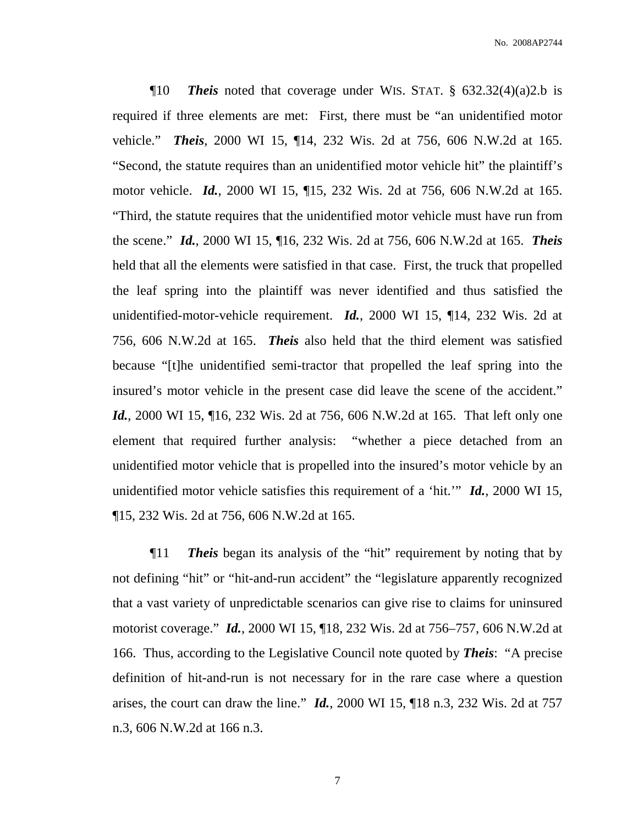¶10 *Theis* noted that coverage under WIS. STAT. § 632.32(4)(a)2.b is required if three elements are met: First, there must be "an unidentified motor vehicle." *Theis*, 2000 WI 15, ¶14, 232 Wis. 2d at 756, 606 N.W.2d at 165. "Second, the statute requires than an unidentified motor vehicle hit" the plaintiff's motor vehicle. *Id.*, 2000 WI 15, ¶15, 232 Wis. 2d at 756, 606 N.W.2d at 165. "Third, the statute requires that the unidentified motor vehicle must have run from the scene." *Id.*, 2000 WI 15, ¶16, 232 Wis. 2d at 756, 606 N.W.2d at 165. *Theis* held that all the elements were satisfied in that case. First, the truck that propelled the leaf spring into the plaintiff was never identified and thus satisfied the unidentified-motor-vehicle requirement. *Id.*, 2000 WI 15, ¶14, 232 Wis. 2d at 756, 606 N.W.2d at 165. *Theis* also held that the third element was satisfied because "[t]he unidentified semi-tractor that propelled the leaf spring into the insured's motor vehicle in the present case did leave the scene of the accident." *Id.*, 2000 WI 15, 16, 232 Wis. 2d at 756, 606 N.W.2d at 165. That left only one element that required further analysis: "whether a piece detached from an unidentified motor vehicle that is propelled into the insured's motor vehicle by an unidentified motor vehicle satisfies this requirement of a 'hit.'" *Id.*, 2000 WI 15, ¶15, 232 Wis. 2d at 756, 606 N.W.2d at 165.

¶11 *Theis* began its analysis of the "hit" requirement by noting that by not defining "hit" or "hit-and-run accident" the "legislature apparently recognized that a vast variety of unpredictable scenarios can give rise to claims for uninsured motorist coverage." *Id.*, 2000 WI 15, ¶18, 232 Wis. 2d at 756–757, 606 N.W.2d at 166. Thus, according to the Legislative Council note quoted by *Theis*: "A precise definition of hit-and-run is not necessary for in the rare case where a question arises, the court can draw the line." *Id.*, 2000 WI 15, ¶18 n.3, 232 Wis. 2d at 757 n.3, 606 N.W.2d at 166 n.3.

7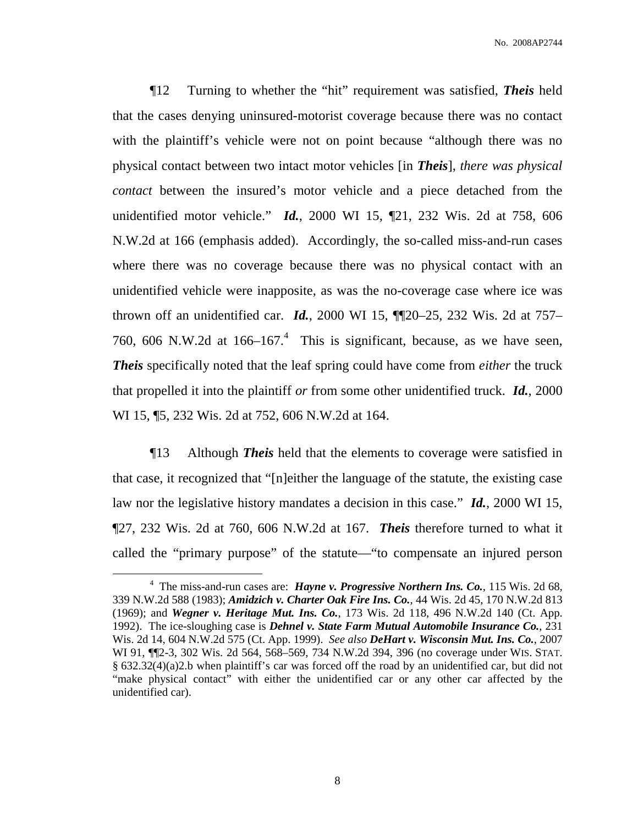¶12 Turning to whether the "hit" requirement was satisfied, *Theis* held that the cases denying uninsured-motorist coverage because there was no contact with the plaintiff's vehicle were not on point because "although there was no physical contact between two intact motor vehicles [in *Theis*], *there was physical contact* between the insured's motor vehicle and a piece detached from the unidentified motor vehicle." *Id.*, 2000 WI 15, ¶21, 232 Wis. 2d at 758, 606 N.W.2d at 166 (emphasis added). Accordingly, the so-called miss-and-run cases where there was no coverage because there was no physical contact with an unidentified vehicle were inapposite, as was the no-coverage case where ice was thrown off an unidentified car. *Id.*, 2000 WI 15, ¶¶20–25, 232 Wis. 2d at 757– 760, 606 N.W.2d at  $166-167$ .<sup>4</sup> This is significant, because, as we have seen, *Theis* specifically noted that the leaf spring could have come from *either* the truck that propelled it into the plaintiff *or* from some other unidentified truck. *Id.*, 2000 WI 15, ¶5, 232 Wis. 2d at 752, 606 N.W.2d at 164.

¶13 Although *Theis* held that the elements to coverage were satisfied in that case, it recognized that "[n]either the language of the statute, the existing case law nor the legislative history mandates a decision in this case." *Id.*, 2000 WI 15, ¶27, 232 Wis. 2d at 760, 606 N.W.2d at 167. *Theis* therefore turned to what it called the "primary purpose" of the statute—"to compensate an injured person

<sup>4</sup> The miss-and-run cases are: *Hayne v. Progressive Northern Ins. Co.*, 115 Wis. 2d 68, 339 N.W.2d 588 (1983); *Amidzich v. Charter Oak Fire Ins. Co.*, 44 Wis. 2d 45, 170 N.W.2d 813 (1969); and *Wegner v. Heritage Mut. Ins. Co.*, 173 Wis. 2d 118, 496 N.W.2d 140 (Ct. App. 1992). The ice-sloughing case is *Dehnel v. State Farm Mutual Automobile Insurance Co.*, 231 Wis. 2d 14, 604 N.W.2d 575 (Ct. App. 1999). *See also DeHart v. Wisconsin Mut. Ins. Co.*, 2007 WI 91, ¶¶2-3, 302 Wis. 2d 564, 568–569, 734 N.W.2d 394, 396 (no coverage under WIS. STAT. § 632.32(4)(a)2.b when plaintiff's car was forced off the road by an unidentified car, but did not "make physical contact" with either the unidentified car or any other car affected by the unidentified car).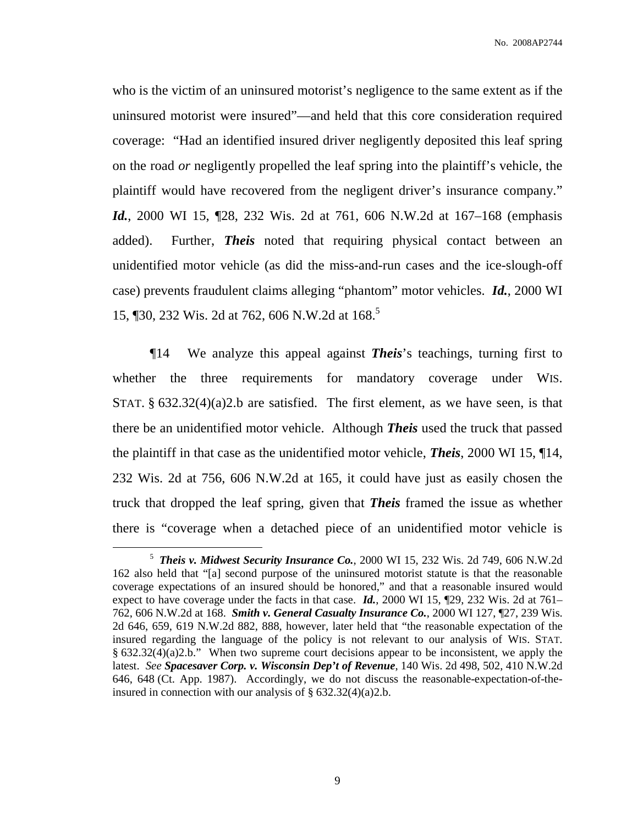who is the victim of an uninsured motorist's negligence to the same extent as if the uninsured motorist were insured"—and held that this core consideration required coverage: "Had an identified insured driver negligently deposited this leaf spring on the road *or* negligently propelled the leaf spring into the plaintiff's vehicle, the plaintiff would have recovered from the negligent driver's insurance company." *Id.*, 2000 WI 15,  $\mathbb{Z}8$ , 232 Wis. 2d at 761, 606 N.W.2d at 167–168 (emphasis added). Further, *Theis* noted that requiring physical contact between an unidentified motor vehicle (as did the miss-and-run cases and the ice-slough-off case) prevents fraudulent claims alleging "phantom" motor vehicles. *Id.*, 2000 WI 15, ¶30, 232 Wis. 2d at 762, 606 N.W.2d at 168. 5

¶14 We analyze this appeal against *Theis*'s teachings, turning first to whether the three requirements for mandatory coverage under WIS. STAT.  $\S$  632.32(4)(a)2.b are satisfied. The first element, as we have seen, is that there be an unidentified motor vehicle. Although *Theis* used the truck that passed the plaintiff in that case as the unidentified motor vehicle, *Theis*, 2000 WI 15, ¶14, 232 Wis. 2d at 756, 606 N.W.2d at 165, it could have just as easily chosen the truck that dropped the leaf spring, given that *Theis* framed the issue as whether there is "coverage when a detached piece of an unidentified motor vehicle is

<sup>5</sup> *Theis v. Midwest Security Insurance Co.*, 2000 WI 15, 232 Wis. 2d 749, 606 N.W.2d 162 also held that "[a] second purpose of the uninsured motorist statute is that the reasonable coverage expectations of an insured should be honored," and that a reasonable insured would expect to have coverage under the facts in that case. *Id.*, 2000 WI 15, ¶29, 232 Wis. 2d at 761– 762, 606 N.W.2d at 168. *Smith v. General Casualty Insurance Co.*, 2000 WI 127, ¶27, 239 Wis. 2d 646, 659, 619 N.W.2d 882, 888, however, later held that "the reasonable expectation of the insured regarding the language of the policy is not relevant to our analysis of WIS. STAT. § 632.32(4)(a)2.b." When two supreme court decisions appear to be inconsistent, we apply the latest. *See Spacesaver Corp. v. Wisconsin Dep't of Revenue*, 140 Wis. 2d 498, 502, 410 N.W.2d 646, 648 (Ct. App. 1987). Accordingly, we do not discuss the reasonable-expectation-of-theinsured in connection with our analysis of  $\S$  632.32(4)(a)2.b.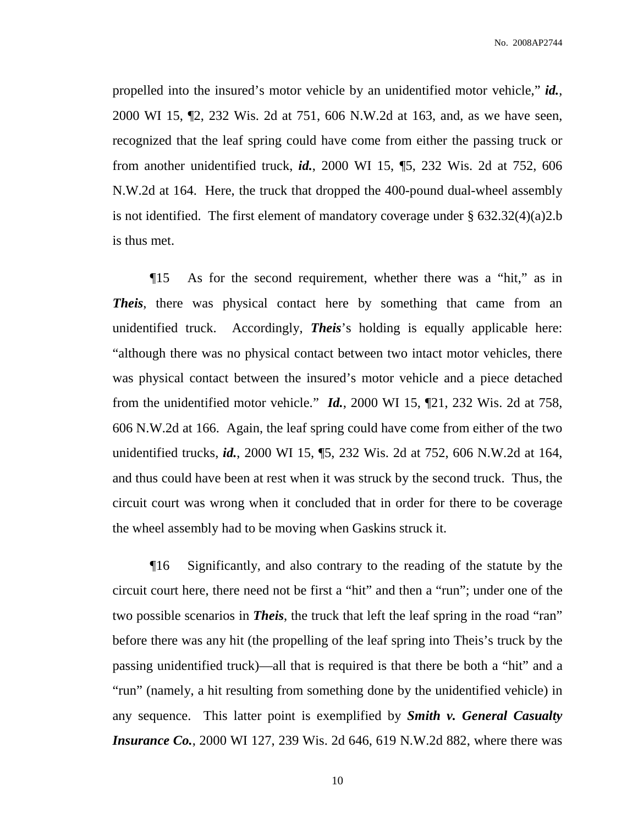No. 2008AP2744

propelled into the insured's motor vehicle by an unidentified motor vehicle," *id.*, 2000 WI 15, ¶2, 232 Wis. 2d at 751, 606 N.W.2d at 163, and, as we have seen, recognized that the leaf spring could have come from either the passing truck or from another unidentified truck, *id.*, 2000 WI 15, ¶5, 232 Wis. 2d at 752, 606 N.W.2d at 164. Here, the truck that dropped the 400-pound dual-wheel assembly is not identified. The first element of mandatory coverage under  $\S 632.32(4)(a)2.b$ is thus met.

¶15 As for the second requirement, whether there was a "hit," as in *Theis*, there was physical contact here by something that came from an unidentified truck. Accordingly, *Theis*'s holding is equally applicable here: "although there was no physical contact between two intact motor vehicles, there was physical contact between the insured's motor vehicle and a piece detached from the unidentified motor vehicle." *Id.*, 2000 WI 15, ¶21, 232 Wis. 2d at 758, 606 N.W.2d at 166. Again, the leaf spring could have come from either of the two unidentified trucks, *id.*, 2000 WI 15, ¶5, 232 Wis. 2d at 752, 606 N.W.2d at 164, and thus could have been at rest when it was struck by the second truck. Thus, the circuit court was wrong when it concluded that in order for there to be coverage the wheel assembly had to be moving when Gaskins struck it.

¶16 Significantly, and also contrary to the reading of the statute by the circuit court here, there need not be first a "hit" and then a "run"; under one of the two possible scenarios in *Theis*, the truck that left the leaf spring in the road "ran" before there was any hit (the propelling of the leaf spring into Theis's truck by the passing unidentified truck)—all that is required is that there be both a "hit" and a "run" (namely, a hit resulting from something done by the unidentified vehicle) in any sequence. This latter point is exemplified by *Smith v. General Casualty Insurance Co.*, 2000 WI 127, 239 Wis. 2d 646, 619 N.W.2d 882, where there was

10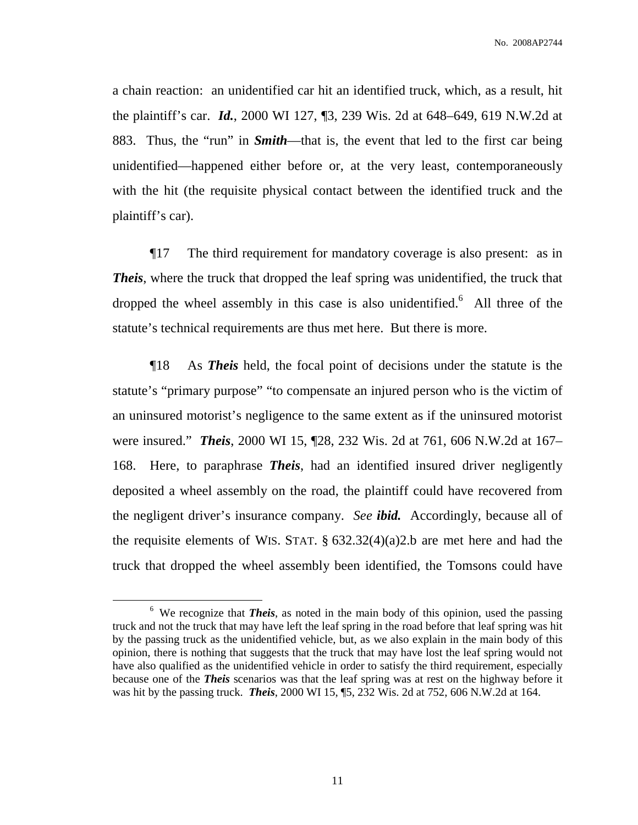a chain reaction: an unidentified car hit an identified truck, which, as a result, hit the plaintiff's car. *Id.*, 2000 WI 127, ¶3, 239 Wis. 2d at 648–649, 619 N.W.2d at 883. Thus, the "run" in *Smith*—that is, the event that led to the first car being unidentified—happened either before or, at the very least, contemporaneously with the hit (the requisite physical contact between the identified truck and the plaintiff's car).

¶17 The third requirement for mandatory coverage is also present: as in *Theis*, where the truck that dropped the leaf spring was unidentified, the truck that dropped the wheel assembly in this case is also unidentified.<sup>6</sup> All three of the statute's technical requirements are thus met here. But there is more.

¶18 As *Theis* held, the focal point of decisions under the statute is the statute's "primary purpose" "to compensate an injured person who is the victim of an uninsured motorist's negligence to the same extent as if the uninsured motorist were insured." *Theis*, 2000 WI 15, ¶28, 232 Wis. 2d at 761, 606 N.W.2d at 167– 168. Here, to paraphrase *Theis*, had an identified insured driver negligently deposited a wheel assembly on the road, the plaintiff could have recovered from the negligent driver's insurance company. *See ibid.* Accordingly, because all of the requisite elements of WIS. STAT. § 632.32(4)(a)2.b are met here and had the truck that dropped the wheel assembly been identified, the Tomsons could have

<sup>&</sup>lt;sup>6</sup> We recognize that *Theis*, as noted in the main body of this opinion, used the passing truck and not the truck that may have left the leaf spring in the road before that leaf spring was hit by the passing truck as the unidentified vehicle, but, as we also explain in the main body of this opinion, there is nothing that suggests that the truck that may have lost the leaf spring would not have also qualified as the unidentified vehicle in order to satisfy the third requirement, especially because one of the *Theis* scenarios was that the leaf spring was at rest on the highway before it was hit by the passing truck. *Theis*, 2000 WI 15, ¶5, 232 Wis. 2d at 752, 606 N.W.2d at 164.